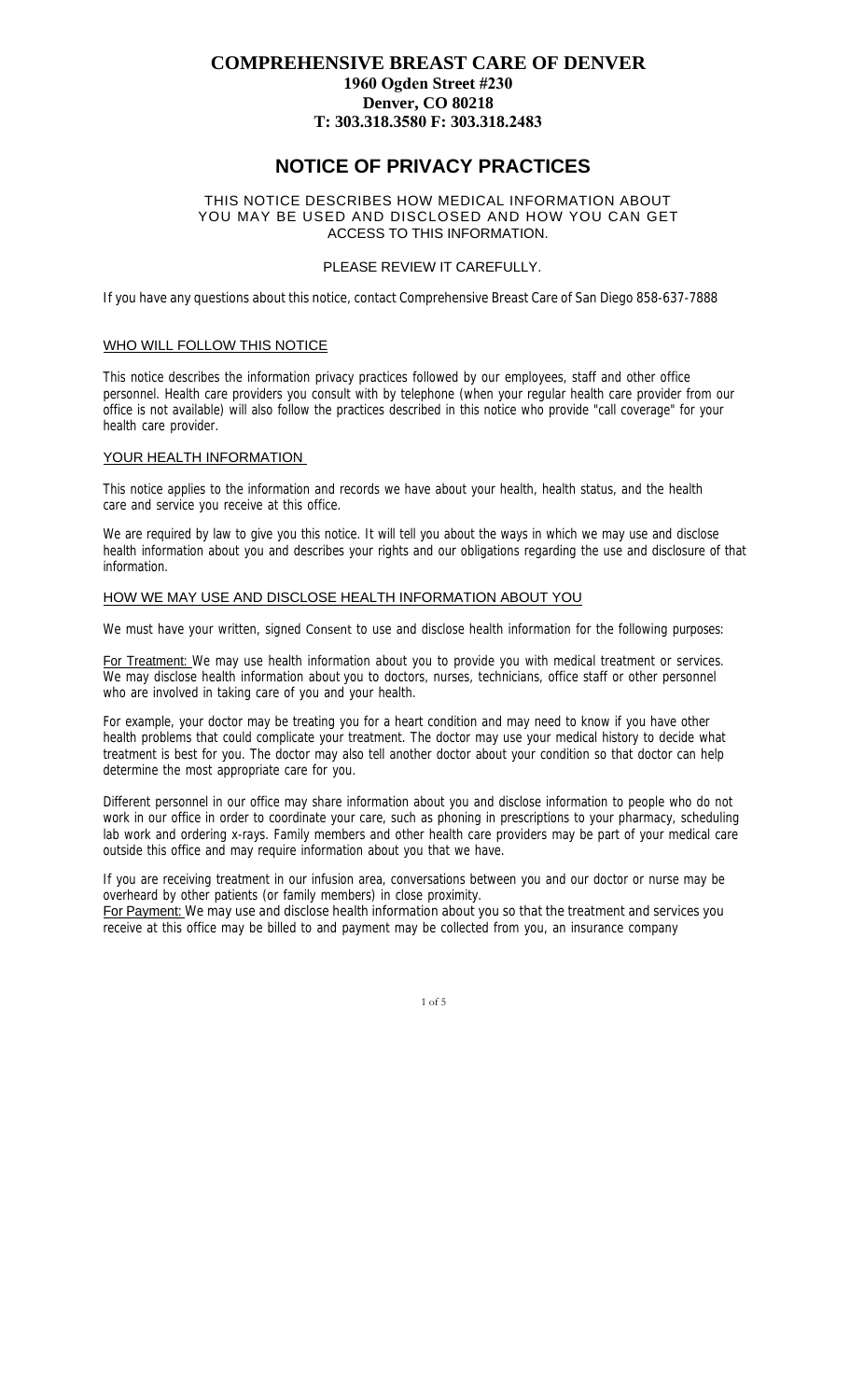# **COMPREHENSIVE BREAST CARE OF DENVER 1960 Ogden Street #230 Denver, CO 80218 T: 303.318.3580 F: 303.318.2483**

# **NOTICE OF PRIVACY PRACTICES**

## THIS NOTICE DESCRIBES HOW MEDICAL INFORMATION ABOUT YOU MAY BE USED AND DISCLOSED AND HOW YOU CAN GET ACCESS TO THIS INFORMATION.

## PLEASE REVIEW IT CAREFULLY.

If you have any questions about this notice, contact Comprehensive Breast Care of San Diego 858-637-7888

# WHO WILL FOLLOW THIS NOTICE

This notice describes the information privacy practices followed by our employees, staff and other office personnel. Health care providers you consult with by telephone (when your regular health care provider from our office is not available) will also follow the practices described in this notice who provide "call coverage" for your health care provider.

#### YOUR HEALTH INFORMATION

This notice applies to the information and records we have about your health, health status, and the health care and service you receive at this office.

We are required by law to give you this notice. It will tell you about the ways in which we may use and disclose health information about you and describes your rights and our obligations regarding the use and disclosure of that information.

# HOW WE MAY USE AND DISCLOSE HEALTH INFORMATION ABOUT YOU

We must have your written, signed *Consent* to use and disclose health information for the following purposes:

For Treatment: We may use health information about you to provide you with medical treatment or services. We may disclose health information about you to doctors, nurses, technicians, office staff or other personnel who are involved in taking care of you and your health.

For example, your doctor may be treating you for a heart condition and may need to know if you have other health problems that could complicate your treatment. The doctor may use your medical history to decide what treatment is best for you. The doctor may also tell another doctor about your condition so that doctor can help determine the most appropriate care for you.

Different personnel in our office may share information about you and disclose information to people who do not work in our office in order to coordinate your care, such as phoning in prescriptions to your pharmacy, scheduling lab work and ordering x-rays. Family members and other health care providers may be part of your medical care outside this office and may require information about you that we have.

If you are receiving treatment in our infusion area, conversations between you and our doctor or nurse may be overheard by other patients (or family members) in close proximity.

For Payment: We may use and disclose health information about you so that the treatment and services you receive at this office may be billed to and payment may be collected from you, an insurance company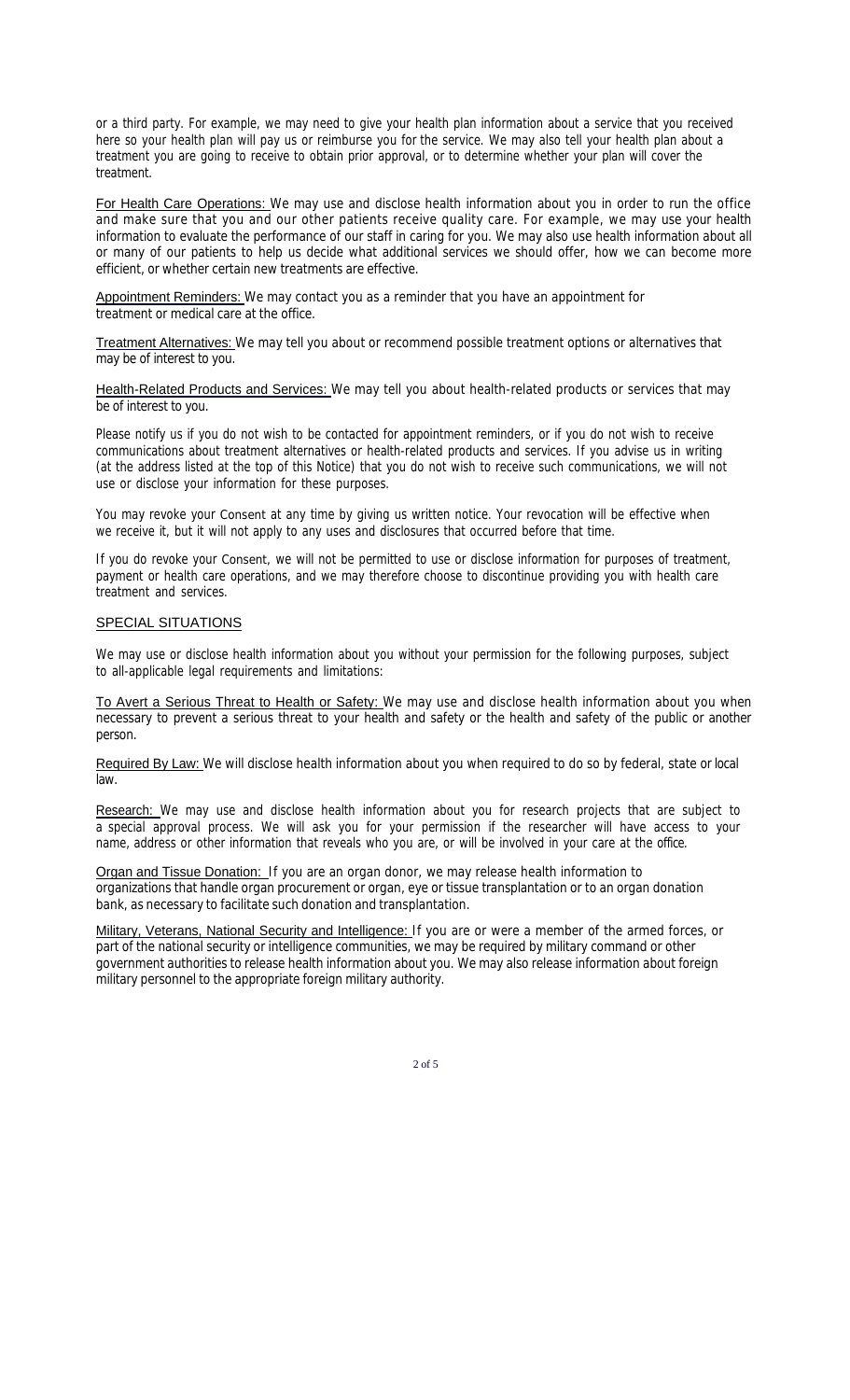or a third party. For example, we may need to give your health plan information about a service that you received here so your health plan will pay us or reimburse you for the service. We may also tell your health plan about a treatment you are going to receive to obtain prior approval, or to determine whether your plan will cover the treatment.

For Health Care Operations: We may use and disclose health information about you in order to run the office and make sure that you and our other patients receive quality care. For example, we may use your health information to evaluate the performance of our staff in caring for you. We may also use health information about all or many of our patients to help us decide what additional services we should offer, how we can become more efficient, or whether certain new treatments are effective.

Appointment Reminders: We may contact you as a reminder that you have an appointment for treatment or medical care at the office.

Treatment Alternatives: We may tell you about or recommend possible treatment options or alternatives that may be of interest to you.

Health-Related Products and Services: We may tell you about health-related products or services that may be of interest to you.

Please notify us if you do not wish to be contacted for appointment reminders, or if you do not wish to receive communications about treatment alternatives or health-related products and services. If you advise us in writing (at the address listed at the top of this Notice) that you do not wish to receive such communications, we will not use or disclose your information for these purposes.

You may revoke your *Consent* at any time by giving us written notice. Your revocation will be effective when we receive it, but it will not apply to any uses and disclosures that occurred before that time.

If you do revoke your *Consent,* we will not be permitted to use or disclose information for purposes of treatment, payment or health care operations, and we may therefore choose to discontinue providing you with health care treatment and services.

#### **SPECIAL SITUATIONS**

We may use or disclose health information about you without your permission for the following purposes, subject to all-applicable legal requirements and limitations:

To Avert a Serious Threat to Health or Safety: We may use and disclose health information about you when necessary to prevent a serious threat to your health and safety or the health and safety of the public or another person.

Required By Law: We will disclose health information about you when required to do so by federal, state or local law.

Research: We may use and disclose health information about you for research projects that are subject to a special approval process. We will ask you for your permission if the researcher will have access to your name, address or other information that reveals who you are, or will be involved in your care at the office.

Organ and Tissue Donation: If you are an organ donor, we may release health information to organizations that handle organ procurement or organ, eye or tissue transplantation or to an organ donation bank, as necessary to facilitate such donation and transplantation.

Military, Veterans, National Security and Intelligence: If you are or were a member of the armed forces, or part of the national security or intelligence communities, we may be required by military command or other government authorities to release health information about you. We may also release information about foreign military personnel to the appropriate foreign military authority.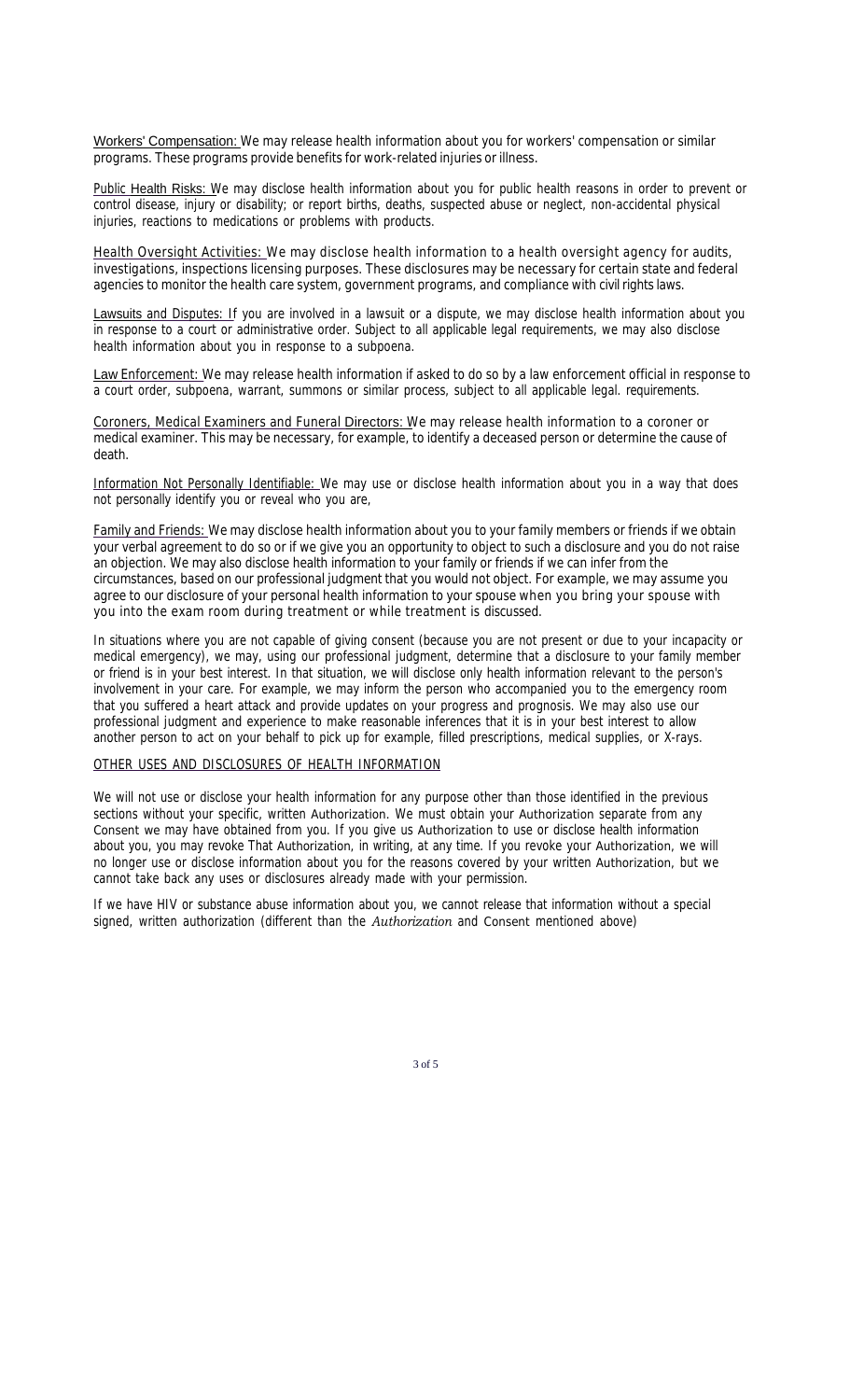Workers' Compensation: We may release health information about you for workers' compensation or similar programs. These programs provide benefits for work-related injuries or illness.

Public Health Risks: We may disclose health information about you for public health reasons in order to prevent or control disease, injury or disability; or report births, deaths, suspected abuse or neglect, non-accidental physical injuries, reactions to medications or problems with products.

Health Oversight Activities: We may disclose health information to a health oversight agency for audits, investigations, inspections licensing purposes. These disclosures may be necessary for certain state and federal agencies to monitor the health care system, government programs, and compliance with civil rights laws.

Lawsuits and Disputes: If you are involved in a lawsuit or a dispute, we may disclose health information about you in response to a court or administrative order. Subject to all applicable legal requirements, we may also disclose health information about you in response to a subpoena.

Law Enforcement: We may release health information if asked to do so by a law enforcement official in response to a court order, subpoena, warrant, summons or similar process, subject to all applicable legal. requirements.

Coroners, Medical Examiners and Funeral Directors: We may release health information to a coroner or medical examiner. This may be necessary, for example, to identify a deceased person or determine the cause of death.

Information Not Personally Identifiable: We may use or disclose health information about you in a way that does not personally identify you or reveal who you are,

Family and Friends: We may disclose health information about you to your family members or friends if we obtain your verbal agreement to do so or if we give you an opportunity to object to such a disclosure and you do not raise an objection. We may also disclose health information to your family or friends if we can infer from the circumstances, based on our professional judgment that you would not object. For example, we may assume you agree to our disclosure of your personal health information to your spouse when you bring your spouse with you into the exam room during treatment or while treatment is discussed.

In situations where you are not capable of giving consent (because you are not present or due to your incapacity or medical emergency), we may, using our professional judgment, determine that a disclosure to your family member or friend is in your best interest. In that situation, we will disclose only health information relevant to the person's involvement in your care. For example, we may inform the person who accompanied you to the emergency room that you suffered a heart attack and provide updates on your progress and prognosis. We may also use our professional judgment and experience to make reasonable inferences that it is in your best interest to allow another person to act on your behalf to pick up for example, filled prescriptions, medical supplies, or X-rays.

# OTHER USES AND DISCLOSURES OF HEALTH INFORMATION

We will not use or disclose your health information for any purpose other than those identified in the previous sections without your specific, written *Authorization.* We must obtain your *Authorization* separate from any *Consent we* may have obtained from you. If you give us *Authorization* to use or disclose health information about you, you may revoke That *Authorization,* in writing, at any time. If you revoke your *Authorization,* we will no longer use or disclose information about you for the reasons covered by your written *Authorization,* but we cannot take back any uses or disclosures already made with your permission.

If we have HIV or substance abuse information about you, we cannot release that information without a special signed, written authorization (different than the *Authorization* and *Consent* mentioned above)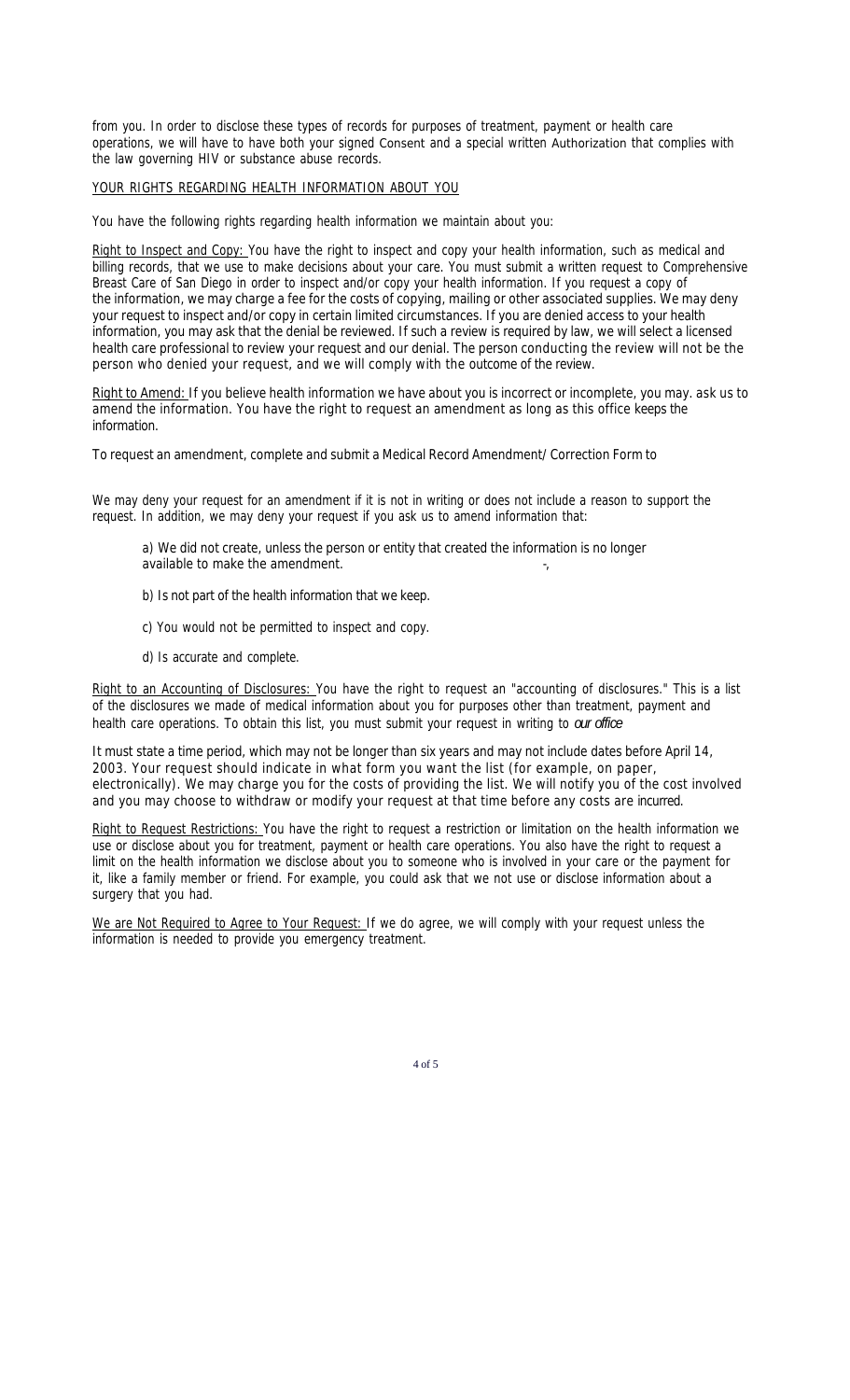from you. In order to disclose these types of records for purposes of treatment, payment or health care operations, we will have to have both your signed *Consent* and a special written *Authorization* that complies with the law governing HIV or substance abuse records.

#### YOUR RIGHTS REGARDING HEALTH INFORMATION ABOUT YOU

You have the following rights regarding health information we maintain about you:

Right to Inspect and Copy: You have the right to inspect and copy your health information, such as medical and billing records, that we use to make decisions about your care. You must submit a written request to Comprehensive Breast Care of San Diego in order to inspect and/or copy your health information. If you request a copy of the information, we may charge a fee for the costs of copying, mailing or other associated supplies. We may deny your request to inspect and/or copy in certain limited circumstances. If you are denied access to your health information, you may ask that the denial be reviewed. If such a review is required by law, we will select a licensed health care professional to review your request and our denial. The person conducting the review will not be the person who denied your request, and we will comply with the outcome of the review.

Right to Amend: If you believe health information we have about you is incorrect or incomplete, you may. ask us to amend the information. You have the right to request an amendment as long as this office keeps the information.

To request an amendment, complete and submit a Medical Record Amendment/ Correction Form to

We may deny your request for an amendment if it is not in writing or does not include a reason to support the request. In addition, we may deny your request if you ask us to amend information that:

a) We did not create, unless the person or entity that created the information is no longer available to make the amendment.

- b) Is not part of the health information that we keep.
- c) You would not be permitted to inspect and copy.
- d) Is accurate and complete.

Right to an Accounting of Disclosures: You have the right to request an "accounting of disclosures." This is a list of the disclosures we made of medical information about you for purposes other than treatment, payment and health care operations. To obtain this list, you must submit your request in writing to *our office*

It must state a time period, which may not be longer than six years and may not include dates before April 14, 2003. Your request should indicate in what form you want the list (for example, on paper, electronically). We may charge you for the costs of providing the list. We will notify you of the cost involved and you may choose to withdraw or modify your request at that time before any costs are incurred.

Right to Request Restrictions: You have the right to request a restriction or limitation on the health information we use or disclose about you for treatment, payment or health care operations. You also have the right to request a limit on the health information we disclose about you to someone who is involved in your care or the payment for it, like a family member or friend. For example, you could ask that we not use or disclose information about a surgery that you had.

We are Not Required to Agree to Your Request: If we do agree, we will comply with your request unless the information is needed to provide you emergency treatment.